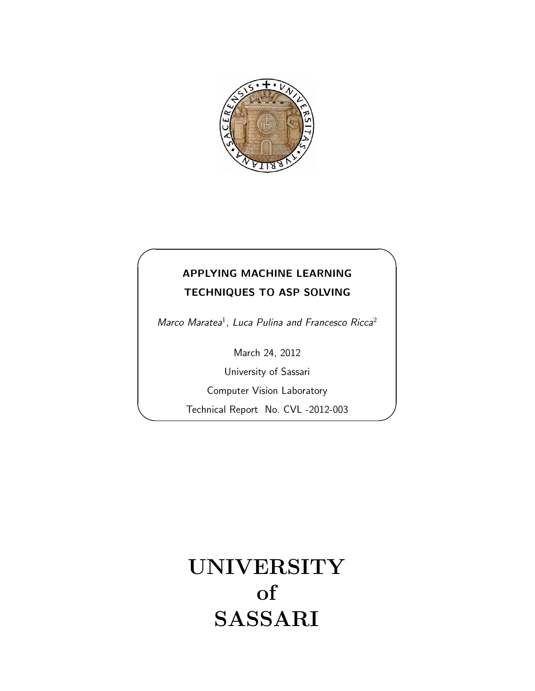

# APPLYING MACHINE LEARNING TECHNIQUES TO ASP SOLVING

✬

 $\overline{\phantom{0}}$ 

Marco Maratea<sup>1</sup>, Luca Pulina and Francesco Ricca<sup>2</sup>

March 24, 2012

University of Sassari

Computer Vision Laboratory

Technical Report No. CVL -2012-003

# UNIVERSITY of SASSARI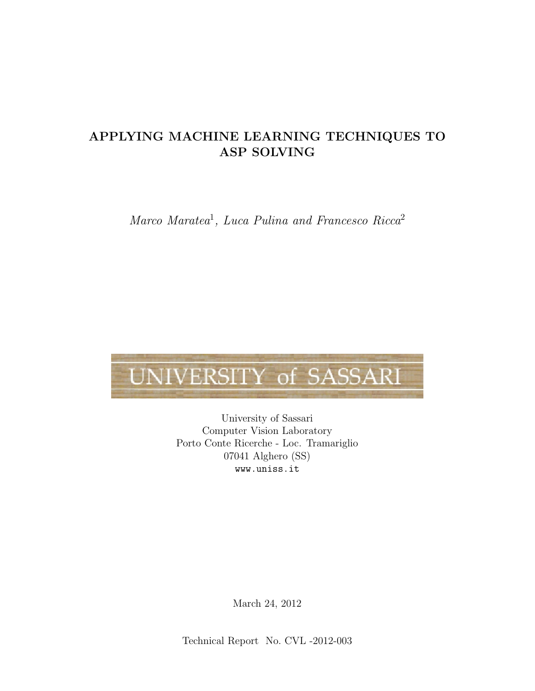# APPLYING MACHINE LEARNING TECHNIQUES TO ASP SOLVING

Marco Maratea<sup>1</sup>, Luca Pulina and Francesco Ricca<sup>2</sup>

# UNIVERSITY of SASSARI

University of Sassari Computer Vision Laboratory Porto Conte Ricerche - Loc. Tramariglio 07041 Alghero (SS) www.uniss.it

March 24, 2012

Technical Report No. CVL -2012-003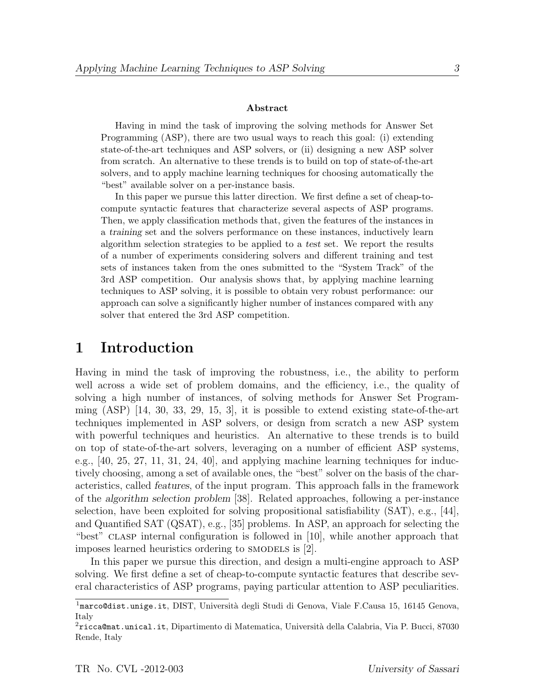#### Abstract

Having in mind the task of improving the solving methods for Answer Set Programming (ASP), there are two usual ways to reach this goal: (i) extending state-of-the-art techniques and ASP solvers, or (ii) designing a new ASP solver from scratch. An alternative to these trends is to build on top of state-of-the-art solvers, and to apply machine learning techniques for choosing automatically the "best" available solver on a per-instance basis.

In this paper we pursue this latter direction. We first define a set of cheap-tocompute syntactic features that characterize several aspects of ASP programs. Then, we apply classification methods that, given the features of the instances in a training set and the solvers performance on these instances, inductively learn algorithm selection strategies to be applied to a test set. We report the results of a number of experiments considering solvers and different training and test sets of instances taken from the ones submitted to the "System Track" of the 3rd ASP competition. Our analysis shows that, by applying machine learning techniques to ASP solving, it is possible to obtain very robust performance: our approach can solve a significantly higher number of instances compared with any solver that entered the 3rd ASP competition.

## 1 Introduction

Having in mind the task of improving the robustness, i.e., the ability to perform well across a wide set of problem domains, and the efficiency, i.e., the quality of solving a high number of instances, of solving methods for Answer Set Programming  $(ASP)$  [14, 30, 33, 29, 15, 3], it is possible to extend existing state-of-the-art techniques implemented in ASP solvers, or design from scratch a new ASP system with powerful techniques and heuristics. An alternative to these trends is to build on top of state-of-the-art solvers, leveraging on a number of efficient ASP systems, e.g., [40, 25, 27, 11, 31, 24, 40], and applying machine learning techniques for inductively choosing, among a set of available ones, the "best" solver on the basis of the characteristics, called features, of the input program. This approach falls in the framework of the algorithm selection problem [38]. Related approaches, following a per-instance selection, have been exploited for solving propositional satisfiability (SAT), e.g., [44], and Quantified SAT (QSAT), e.g., [35] problems. In ASP, an approach for selecting the "best" clasp internal configuration is followed in [10], while another approach that imposes learned heuristics ordering to SMODELS is [2].

In this paper we pursue this direction, and design a multi-engine approach to ASP solving. We first define a set of cheap-to-compute syntactic features that describe several characteristics of ASP programs, paying particular attention to ASP peculiarities.

 $1<sup>1</sup>$ marco@dist.unige.it, DIST, Università degli Studi di Genova, Viale F.Causa 15, 16145 Genova, Italy

 $2$ ricca@mat.unical.it, Dipartimento di Matematica, Università della Calabria, Via P. Bucci, 87030 Rende, Italy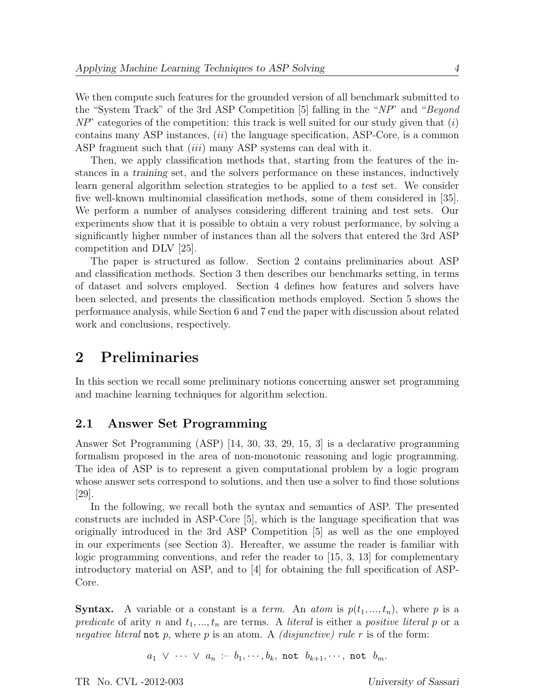We then compute such features for the grounded version of all benchmark submitted to the "System Track" of the 3rd ASP Competition [5] falling in the "NP" and "Beyond  $NP'$  categories of the competition: this track is well suited for our study given that  $(i)$ contains many ASP instances,  $(ii)$  the language specification, ASP-Core, is a common ASP fragment such that *(iii)* many ASP systems can deal with it.

Then, we apply classification methods that, starting from the features of the instances in a training set, and the solvers performance on these instances, inductively learn general algorithm selection strategies to be applied to a test set. We consider five well-known multinomial classification methods, some of them considered in [35]. We perform a number of analyses considering different training and test sets. Our experiments show that it is possible to obtain a very robust performance, by solving a significantly higher number of instances than all the solvers that entered the 3rd ASP competition and DLV [25].

The paper is structured as follow. Section 2 contains preliminaries about ASP and classification methods. Section 3 then describes our benchmarks setting, in terms of dataset and solvers employed. Section 4 defines how features and solvers have been selected, and presents the classification methods employed. Section 5 shows the performance analysis, while Section 6 and 7 end the paper with discussion about related work and conclusions, respectively.

# 2 Preliminaries

In this section we recall some preliminary notions concerning answer set programming and machine learning techniques for algorithm selection.

## 2.1 Answer Set Programming

Answer Set Programming (ASP) [14, 30, 33, 29, 15, 3] is a declarative programming formalism proposed in the area of non-monotonic reasoning and logic programming. The idea of ASP is to represent a given computational problem by a logic program whose answer sets correspond to solutions, and then use a solver to find those solutions [29].

In the following, we recall both the syntax and semantics of ASP. The presented constructs are included in ASP-Core [5], which is the language specification that was originally introduced in the 3rd ASP Competition [5] as well as the one employed in our experiments (see Section 3). Hereafter, we assume the reader is familiar with logic programming conventions, and refer the reader to [15, 3, 13] for complementary introductory material on ASP, and to [4] for obtaining the full specification of ASP-Core.

**Syntax.** A variable or a constant is a *term*. An *atom* is  $p(t_1, ..., t_n)$ , where p is a predicate of arity n and  $t_1, ..., t_n$  are terms. A literal is either a positive literal p or a negative literal not p, where p is an atom. A *(disjunctive)* rule r is of the form:

 $a_1 \vee \cdots \vee a_n := b_1, \cdots, b_k$ , not  $b_{k+1}, \cdots$ , not  $b_m$ .

TR No. CVL -2012-003 University of Sassari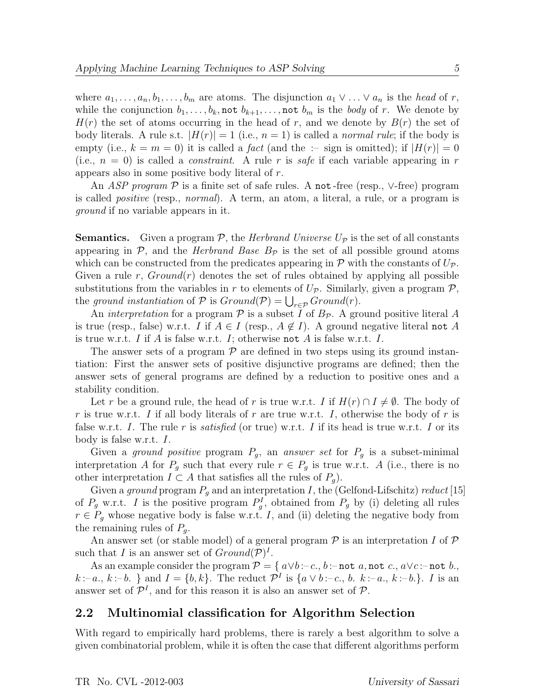where  $a_1, \ldots, a_n, b_1, \ldots, b_m$  are atoms. The disjunction  $a_1 \vee \ldots \vee a_n$  is the head of r, while the conjunction  $b_1, \ldots, b_k$ , not  $b_{k+1}, \ldots$ , not  $b_m$  is the body of r. We denote by  $H(r)$  the set of atoms occurring in the head of r, and we denote by  $B(r)$  the set of body literals. A rule s.t.  $|H(r)| = 1$  (i.e.,  $n = 1$ ) is called a *normal rule*; if the body is empty (i.e.,  $k = m = 0$ ) it is called a *fact* (and the :- sign is omitted); if  $|H(r)| = 0$ (i.e.,  $n = 0$ ) is called a *constraint*. A rule r is safe if each variable appearing in r appears also in some positive body literal of r.

An ASP program  $\mathcal P$  is a finite set of safe rules. A not-free (resp.,  $\vee$ -free) program is called positive (resp., normal). A term, an atom, a literal, a rule, or a program is ground if no variable appears in it.

**Semantics.** Given a program  $P$ , the *Herbrand Universe U<sub>P</sub>* is the set of all constants appearing in  $P$ , and the *Herbrand Base B<sub>p</sub>* is the set of all possible ground atoms which can be constructed from the predicates appearing in  $\mathcal P$  with the constants of  $U_{\mathcal P}$ . Given a rule r,  $Ground(r)$  denotes the set of rules obtained by applying all possible substitutions from the variables in r to elements of  $U_{\mathcal{P}}$ . Similarly, given a program  $\mathcal{P}$ , the ground instantiation of  $P$  is  $Ground(P) = \bigcup_{r \in P} Ground(r)$ .

An *interpretation* for a program  $\mathcal P$  is a subset I of  $B_{\mathcal P}$ . A ground positive literal A is true (resp., false) w.r.t. I if  $A \in I$  (resp.,  $A \notin I$ ). A ground negative literal not A is true w.r.t. I if A is false w.r.t. I; otherwise not A is false w.r.t. I.

The answer sets of a program  $\mathcal P$  are defined in two steps using its ground instantiation: First the answer sets of positive disjunctive programs are defined; then the answer sets of general programs are defined by a reduction to positive ones and a stability condition.

Let r be a ground rule, the head of r is true w.r.t. I if  $H(r) \cap I \neq \emptyset$ . The body of r is true w.r.t. I if all body literals of r are true w.r.t. I, otherwise the body of r is false w.r.t. I. The rule r is *satisfied* (or true) w.r.t. I if its head is true w.r.t. I or its body is false w.r.t. I.

Given a ground positive program  $P_g$ , an answer set for  $P_g$  is a subset-minimal interpretation A for  $P_q$  such that every rule  $r \in P_q$  is true w.r.t. A (i.e., there is no other interpretation  $I \subset A$  that satisfies all the rules of  $P_q$ ).

Given a ground program  $P<sub>g</sub>$  and an interpretation I, the (Gelfond-Lifschitz) reduct [15] of  $P_g$  w.r.t. I is the positive program  $P_g^I$ , obtained from  $P_g$  by (i) deleting all rules  $r \in P_g$  whose negative body is false w.r.t. I, and (ii) deleting the negative body from the remaining rules of  $P<sub>a</sub>$ .

An answer set (or stable model) of a general program  $P$  is an interpretation I of  $P$ such that I is an answer set of  $Ground(P)^{I}$ .

As an example consider the program  $\mathcal{P} = \{ a \lor b : -c., b : \text{not } a, \text{not } c., a \lor c : \text{not } b.\}$  $k-a, k-b.$  and  $I = \{b, k\}$ . The reduct  $\mathcal{P}^I$  is  $\{a \vee b : -c., b. k : -a., k : -b.\}$ . I is an answer set of  $\mathcal{P}^I$ , and for this reason it is also an answer set of  $\mathcal{P}$ .

## 2.2 Multinomial classification for Algorithm Selection

With regard to empirically hard problems, there is rarely a best algorithm to solve a given combinatorial problem, while it is often the case that different algorithms perform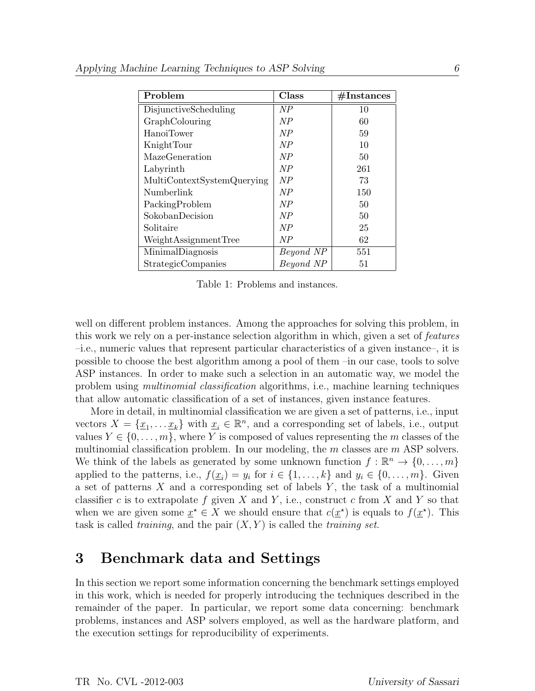| Problem                    | Class     | $\#\text{Instantes}$ |
|----------------------------|-----------|----------------------|
| DisjunctiveScheduling      | NP        | 10                   |
| GraphColouring             | NP        | 60                   |
| HanoiTower                 | NP        | 59                   |
| KnightTour                 | NP        | 10                   |
| MazeGeneration             | NP        | 50                   |
| Labyrinth                  | NP        | 261                  |
| MultiContextSystemQuerying | NP        | 73                   |
| Numberlink                 | NP        | 150                  |
| PackingProblem             | NP        | 50                   |
| SokobanDecision            | NP        | 50                   |
| Solitaire                  | NP        | 25                   |
| WeightAssignmentTree       | NP        | 62                   |
| MinimalDiagnosis           | Beyond NP | 551                  |
| StrategicCompanies         | Beyond NP | 51                   |

Table 1: Problems and instances.

well on different problem instances. Among the approaches for solving this problem, in this work we rely on a per-instance selection algorithm in which, given a set of features –i.e., numeric values that represent particular characteristics of a given instance–, it is possible to choose the best algorithm among a pool of them –in our case, tools to solve ASP instances. In order to make such a selection in an automatic way, we model the problem using multinomial classification algorithms, i.e., machine learning techniques that allow automatic classification of a set of instances, given instance features.

More in detail, in multinomial classification we are given a set of patterns, i.e., input vectors  $X = \{ \underline{x}_1, \ldots, \underline{x}_k \}$  with  $\underline{x}_i \in \mathbb{R}^n$ , and a corresponding set of labels, i.e., output values  $Y \in \{0, \ldots, m\}$ , where Y is composed of values representing the m classes of the multinomial classification problem. In our modeling, the  $m$  classes are  $m$  ASP solvers. We think of the labels as generated by some unknown function  $f : \mathbb{R}^n \to \{0, \ldots, m\}$ applied to the patterns, i.e.,  $f(\underline{x}_i) = y_i$  for  $i \in \{1, ..., k\}$  and  $y_i \in \{0, ..., m\}$ . Given a set of patterns  $X$  and a corresponding set of labels  $Y$ , the task of a multinomial classifier c is to extrapolate f given X and Y, i.e., construct c from X and Y so that when we are given some  $\underline{x}^* \in X$  we should ensure that  $c(\underline{x}^*)$  is equals to  $f(\underline{x}^*)$ . This task is called *training*, and the pair  $(X, Y)$  is called the *training set*.

# 3 Benchmark data and Settings

In this section we report some information concerning the benchmark settings employed in this work, which is needed for properly introducing the techniques described in the remainder of the paper. In particular, we report some data concerning: benchmark problems, instances and ASP solvers employed, as well as the hardware platform, and the execution settings for reproducibility of experiments.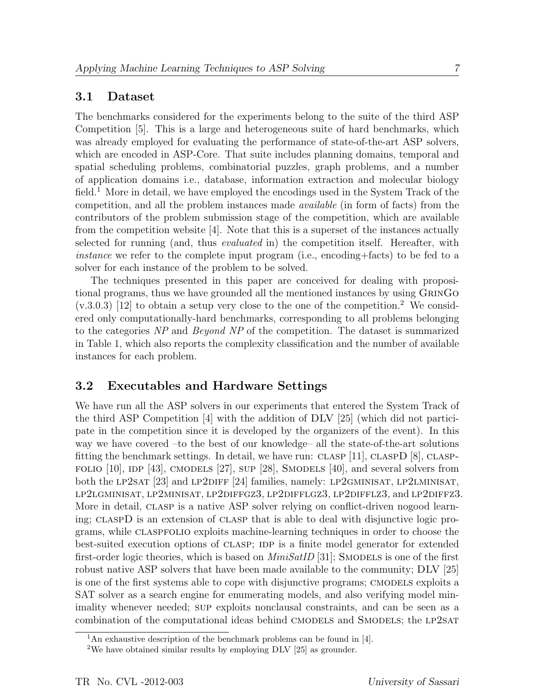#### 3.1 Dataset

The benchmarks considered for the experiments belong to the suite of the third ASP Competition [5]. This is a large and heterogeneous suite of hard benchmarks, which was already employed for evaluating the performance of state-of-the-art ASP solvers, which are encoded in ASP-Core. That suite includes planning domains, temporal and spatial scheduling problems, combinatorial puzzles, graph problems, and a number of application domains i.e., database, information extraction and molecular biology field.<sup>1</sup> More in detail, we have employed the encodings used in the System Track of the competition, and all the problem instances made available (in form of facts) from the contributors of the problem submission stage of the competition, which are available from the competition website [4]. Note that this is a superset of the instances actually selected for running (and, thus evaluated in) the competition itself. Hereafter, with instance we refer to the complete input program (i.e., encoding+facts) to be fed to a solver for each instance of the problem to be solved.

The techniques presented in this paper are conceived for dealing with propositional programs, thus we have grounded all the mentioned instances by using GrinGo  $(v.3.0.3)$  [12] to obtain a setup very close to the one of the competition.<sup>2</sup> We considered only computationally-hard benchmarks, corresponding to all problems belonging to the categories NP and Beyond NP of the competition. The dataset is summarized in Table 1, which also reports the complexity classification and the number of available instances for each problem.

## 3.2 Executables and Hardware Settings

We have run all the ASP solvers in our experiments that entered the System Track of the third ASP Competition [4] with the addition of DLV [25] (which did not participate in the competition since it is developed by the organizers of the event). In this way we have covered –to the best of our knowledge– all the state-of-the-art solutions fitting the benchmark settings. In detail, we have run: CLASP  $[11]$ , CLASPD  $[8]$ , CLASP-FOLIO  $[10]$ , IDP  $[43]$ , CMODELS  $[27]$ , SUP  $[28]$ , SMODELS  $[40]$ , and several solvers from both the LP2SAT [23] and LP2DIFF [24] families, namely: LP2GMINISAT, LP2LMINISAT, lp2lgminisat, lp2minisat, lp2diffgz3, lp2difflgz3, lp2difflz3, and lp2diffz3. More in detail, CLASP is a native ASP solver relying on conflict-driven nogood learning; claspD is an extension of clasp that is able to deal with disjunctive logic programs, while claspfolio exploits machine-learning techniques in order to choose the best-suited execution options of CLASP; IDP is a finite model generator for extended first-order logic theories, which is based on  $MinSatID$  [31]; SMODELS is one of the first robust native ASP solvers that have been made available to the community; DLV [25] is one of the first systems able to cope with disjunctive programs; CMODELS exploits a SAT solver as a search engine for enumerating models, and also verifying model minimality whenever needed; sup exploits nonclausal constraints, and can be seen as a combination of the computational ideas behind CMODELS and SMODELS; the LP2SAT

<sup>&</sup>lt;sup>1</sup>An exhaustive description of the benchmark problems can be found in [4].

<sup>2</sup>We have obtained similar results by employing DLV [25] as grounder.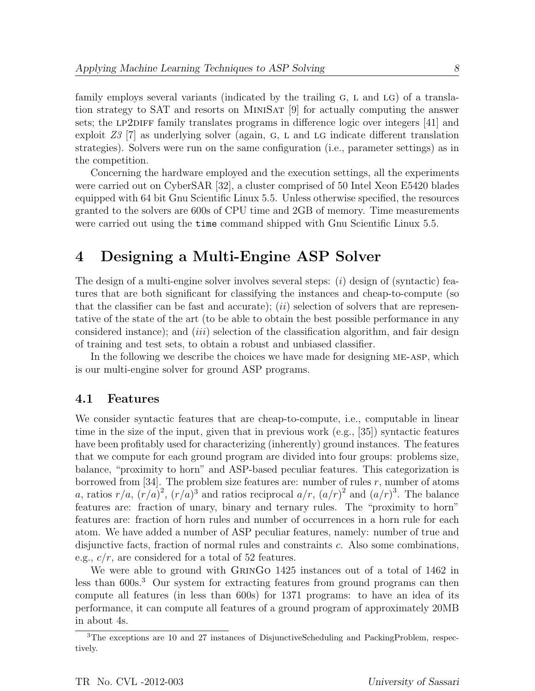family employs several variants (indicated by the trailing  $G$ ,  $L$  and  $LG$ ) of a translation strategy to SAT and resorts on MiniSat [9] for actually computing the answer sets; the LP2DIFF family translates programs in difference logic over integers  $[41]$  and exploit  $Z3$  [7] as underlying solver (again, G, L and LG indicate different translation strategies). Solvers were run on the same configuration (i.e., parameter settings) as in the competition.

Concerning the hardware employed and the execution settings, all the experiments were carried out on CyberSAR [32], a cluster comprised of 50 Intel Xeon E5420 blades equipped with 64 bit Gnu Scientific Linux 5.5. Unless otherwise specified, the resources granted to the solvers are 600s of CPU time and 2GB of memory. Time measurements were carried out using the time command shipped with Gnu Scientific Linux 5.5.

# 4 Designing a Multi-Engine ASP Solver

The design of a multi-engine solver involves several steps:  $(i)$  design of (syntactic) features that are both significant for classifying the instances and cheap-to-compute (so that the classifier can be fast and accurate);  $(ii)$  selection of solvers that are representative of the state of the art (to be able to obtain the best possible performance in any considered instance); and  $(iii)$  selection of the classification algorithm, and fair design of training and test sets, to obtain a robust and unbiased classifier.

In the following we describe the choices we have made for designing me-asp, which is our multi-engine solver for ground ASP programs.

#### 4.1 Features

We consider syntactic features that are cheap-to-compute, i.e., computable in linear time in the size of the input, given that in previous work (e.g., [35]) syntactic features have been profitably used for characterizing (inherently) ground instances. The features that we compute for each ground program are divided into four groups: problems size, balance, "proximity to horn" and ASP-based peculiar features. This categorization is borrowed from [34]. The problem size features are: number of rules  $r$ , number of atoms a, ratios  $r/a$ ,  $(r/a)^2$ ,  $(r/a)^3$  and ratios reciprocal  $a/r$ ,  $(a/r)^2$  and  $(a/r)^3$ . The balance features are: fraction of unary, binary and ternary rules. The "proximity to horn" features are: fraction of horn rules and number of occurrences in a horn rule for each atom. We have added a number of ASP peculiar features, namely: number of true and disjunctive facts, fraction of normal rules and constraints c. Also some combinations, e.g.,  $c/r$ , are considered for a total of 52 features.

We were able to ground with GRINGO 1425 instances out of a total of 1462 in less than 600s.<sup>3</sup> Our system for extracting features from ground programs can then compute all features (in less than 600s) for 1371 programs: to have an idea of its performance, it can compute all features of a ground program of approximately 20MB in about 4s.

<sup>3</sup>The exceptions are 10 and 27 instances of DisjunctiveScheduling and PackingProblem, respectively.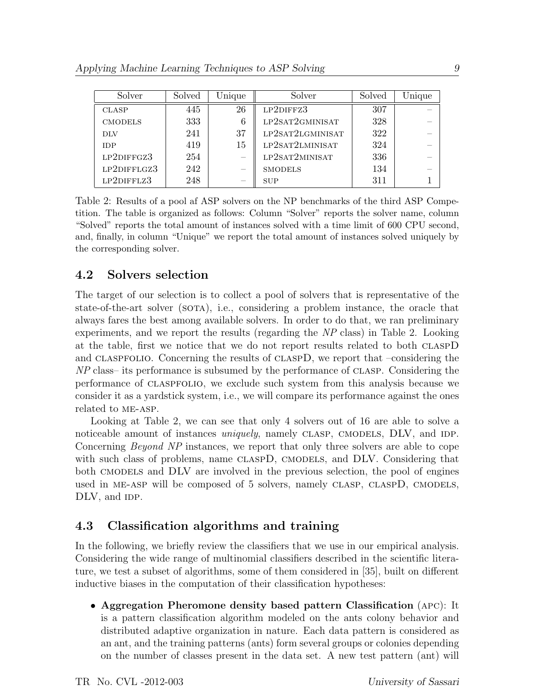| Solver         | Solved | Unique                          | Solver           | Solved | Unique |
|----------------|--------|---------------------------------|------------------|--------|--------|
| <b>CLASP</b>   | 445    | 26                              | LP2DIFFZ3        | 307    |        |
| <b>CMODELS</b> | 333    | 6                               | LP2SAT2GMINISAT  | 328    |        |
| DLV            | 241    | 37                              | LP2SAT2LGMINISAT | 322    |        |
| <b>IDP</b>     | 419    | 15                              | LP2SAT2LMINISAT  | 324    |        |
| LP2DIFFGZ3     | 254    |                                 | LP2SAT2MINISAT   | 336    |        |
| LP2DIFFLGZ3    | 242    | $\hspace{0.1mm}-\hspace{0.1mm}$ | <b>SMODELS</b>   | 134    |        |
| LP2DIFFLZ3     | 248    |                                 | <b>SUP</b>       | 311    |        |

Table 2: Results of a pool af ASP solvers on the NP benchmarks of the third ASP Competition. The table is organized as follows: Column "Solver" reports the solver name, column "Solved" reports the total amount of instances solved with a time limit of 600 CPU second, and, finally, in column "Unique" we report the total amount of instances solved uniquely by the corresponding solver.

### 4.2 Solvers selection

The target of our selection is to collect a pool of solvers that is representative of the state-of-the-art solver (sota), i.e., considering a problem instance, the oracle that always fares the best among available solvers. In order to do that, we ran preliminary experiments, and we report the results (regarding the NP class) in Table 2. Looking at the table, first we notice that we do not report results related to both claspD and claspfolio. Concerning the results of claspD, we report that –considering the NP class– its performance is subsumed by the performance of clasp. Considering the performance of claspfolio, we exclude such system from this analysis because we consider it as a yardstick system, i.e., we will compare its performance against the ones related to me-asp.

Looking at Table 2, we can see that only 4 solvers out of 16 are able to solve a noticeable amount of instances *uniquely*, namely CLASP, CMODELS, DLV, and IDP. Concerning Beyond NP instances, we report that only three solvers are able to cope with such class of problems, name CLASPD, CMODELS, and DLV. Considering that both cmodels and DLV are involved in the previous selection, the pool of engines used in ME-ASP will be composed of 5 solvers, namely CLASP, CLASPD, CMODELS, DLV, and IDP.

## 4.3 Classification algorithms and training

In the following, we briefly review the classifiers that we use in our empirical analysis. Considering the wide range of multinomial classifiers described in the scientific literature, we test a subset of algorithms, some of them considered in [35], built on different inductive biases in the computation of their classification hypotheses:

• Aggregation Pheromone density based pattern Classification (apc): It is a pattern classification algorithm modeled on the ants colony behavior and distributed adaptive organization in nature. Each data pattern is considered as an ant, and the training patterns (ants) form several groups or colonies depending on the number of classes present in the data set. A new test pattern (ant) will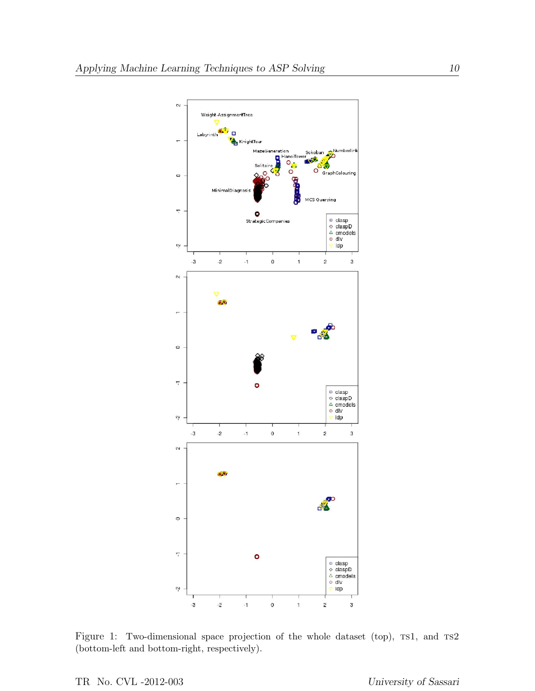

Figure 1: Two-dimensional space projection of the whole dataset (top), rs1, and rs2 (bottom-left and bottom-right, respectively).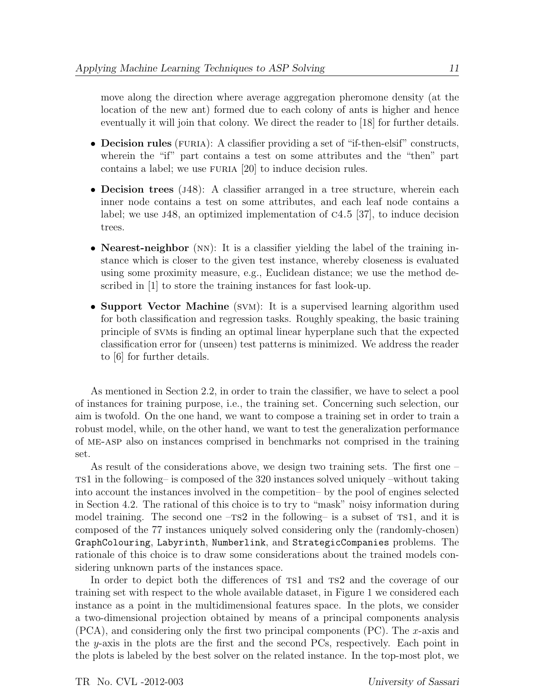move along the direction where average aggregation pheromone density (at the location of the new ant) formed due to each colony of ants is higher and hence eventually it will join that colony. We direct the reader to [18] for further details.

- Decision rules (FURIA): A classifier providing a set of "if-then-elsif" constructs, wherein the "if" part contains a test on some attributes and the "then" part contains a label; we use FURIA [20] to induce decision rules.
- Decision trees ( $J48$ ): A classifier arranged in a tree structure, wherein each inner node contains a test on some attributes, and each leaf node contains a label; we use j48, an optimized implementation of c4.5 [37], to induce decision trees.
- Nearest-neighbor (NN): It is a classifier yielding the label of the training instance which is closer to the given test instance, whereby closeness is evaluated using some proximity measure, e.g., Euclidean distance; we use the method described in [1] to store the training instances for fast look-up.
- Support Vector Machine (SVM): It is a supervised learning algorithm used for both classification and regression tasks. Roughly speaking, the basic training principle of svms is finding an optimal linear hyperplane such that the expected classification error for (unseen) test patterns is minimized. We address the reader to [6] for further details.

As mentioned in Section 2.2, in order to train the classifier, we have to select a pool of instances for training purpose, i.e., the training set. Concerning such selection, our aim is twofold. On the one hand, we want to compose a training set in order to train a robust model, while, on the other hand, we want to test the generalization performance of me-asp also on instances comprised in benchmarks not comprised in the training set.

As result of the considerations above, we design two training sets. The first one – ts1 in the following– is composed of the 320 instances solved uniquely –without taking into account the instances involved in the competition– by the pool of engines selected in Section 4.2. The rational of this choice is to try to "mask" noisy information during model training. The second one  $-TS2$  in the following– is a subset of TS1, and it is composed of the 77 instances uniquely solved considering only the (randomly-chosen) GraphColouring, Labyrinth, Numberlink, and StrategicCompanies problems. The rationale of this choice is to draw some considerations about the trained models considering unknown parts of the instances space.

In order to depict both the differences of  $TS1$  and  $TS2$  and the coverage of our training set with respect to the whole available dataset, in Figure 1 we considered each instance as a point in the multidimensional features space. In the plots, we consider a two-dimensional projection obtained by means of a principal components analysis  $(PCA)$ , and considering only the first two principal components  $(PC)$ . The x-axis and the y-axis in the plots are the first and the second PCs, respectively. Each point in the plots is labeled by the best solver on the related instance. In the top-most plot, we

TR No. CVL -2012-003 University of Sassari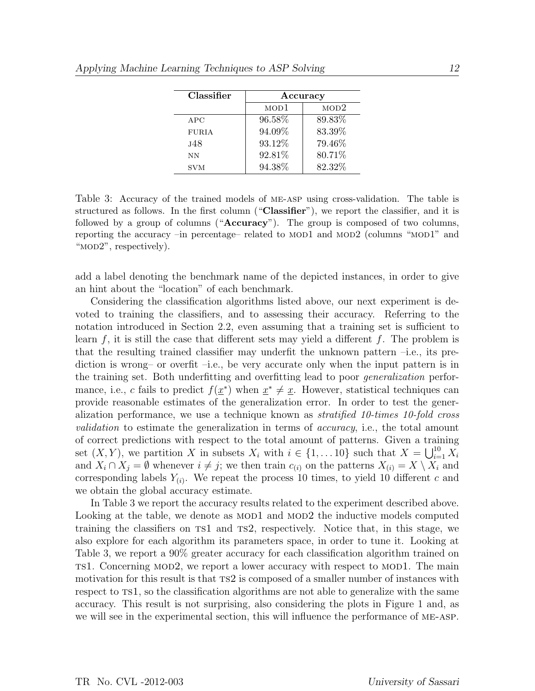| Classifier   | Accuracy         |        |  |  |  |
|--------------|------------------|--------|--|--|--|
|              | MOD <sub>1</sub> | MOD2   |  |  |  |
| APC          | 96.58%           | 89.83% |  |  |  |
| <b>FURIA</b> | 94.09%           | 83.39% |  |  |  |
| .148         | 93.12%           | 79.46% |  |  |  |
| NΝ           | 92.81%           | 80.71% |  |  |  |
| <b>SVM</b>   | 94.38%           | 82.32% |  |  |  |

Table 3: Accuracy of the trained models of me-asp using cross-validation. The table is structured as follows. In the first column ("Classifier"), we report the classifier, and it is followed by a group of columns ("Accuracy"). The group is composed of two columns, reporting the accuracy –in percentage– related to MOD1 and MOD2 (columns "MOD1" and "MOD2", respectively).

add a label denoting the benchmark name of the depicted instances, in order to give an hint about the "location" of each benchmark.

Considering the classification algorithms listed above, our next experiment is devoted to training the classifiers, and to assessing their accuracy. Referring to the notation introduced in Section 2.2, even assuming that a training set is sufficient to learn f, it is still the case that different sets may yield a different f. The problem is that the resulting trained classifier may underfit the unknown pattern –i.e., its prediction is wrong– or overfit –i.e., be very accurate only when the input pattern is in the training set. Both underfitting and overfitting lead to poor generalization performance, i.e., c fails to predict  $f(\underline{x}^*)$  when  $\underline{x}^* \neq \underline{x}$ . However, statistical techniques can provide reasonable estimates of the generalization error. In order to test the generalization performance, we use a technique known as stratified 10-times 10-fold cross validation to estimate the generalization in terms of *accuracy*, i.e., the total amount of correct predictions with respect to the total amount of patterns. Given a training set  $(X, Y)$ , we partition X in subsets  $X_i$  with  $i \in \{1, \ldots 10\}$  such that  $X = \bigcup_{i=1}^{10} X_i$ and  $X_i \cap X_j = \emptyset$  whenever  $i \neq j$ ; we then train  $c_{(i)}$  on the patterns  $X_{(i)} = X \setminus X_i$  and corresponding labels  $Y_{(i)}$ . We repeat the process 10 times, to yield 10 different c and we obtain the global accuracy estimate.

In Table 3 we report the accuracy results related to the experiment described above. Looking at the table, we denote as MOD1 and MOD2 the inductive models computed training the classifiers on ts1 and ts2, respectively. Notice that, in this stage, we also explore for each algorithm its parameters space, in order to tune it. Looking at Table 3, we report a 90% greater accuracy for each classification algorithm trained on ts1. Concerning mod2, we report a lower accuracy with respect to mod1. The main motivation for this result is that  $T<sub>1</sub>$  is composed of a smaller number of instances with respect to  $T\text{S}1$ , so the classification algorithms are not able to generalize with the same accuracy. This result is not surprising, also considering the plots in Figure 1 and, as we will see in the experimental section, this will influence the performance of me-asp.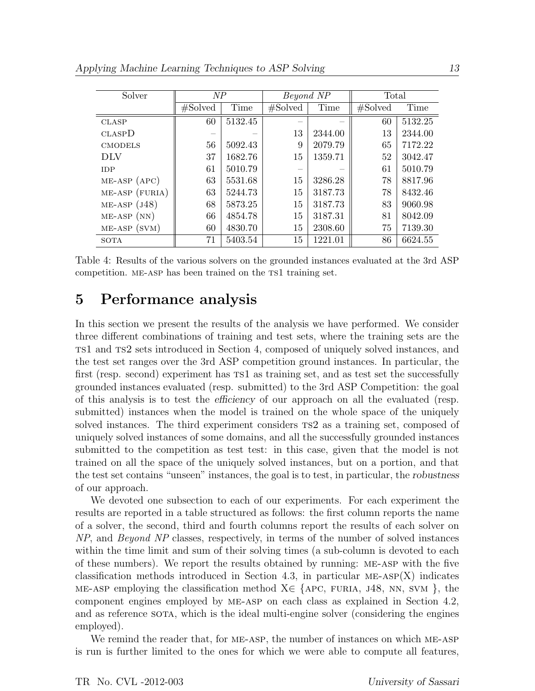| Solver             | NP      |         | Beyond NP  |         | Total   |         |
|--------------------|---------|---------|------------|---------|---------|---------|
|                    | #Solved | Time    | $\#Solved$ | Time    | #Solved | Time    |
| <b>CLASP</b>       | 60      | 5132.45 |            |         | 60      | 5132.25 |
| CLASPD             |         |         | 13         | 2344.00 | 13      | 2344.00 |
| <b>CMODELS</b>     | 56      | 5092.43 | 9          | 2079.79 | 65      | 7172.22 |
| DLV                | 37      | 1682.76 | 15         | 1359.71 | 52      | 3042.47 |
| <b>IDP</b>         | 61      | 5010.79 |            |         | 61      | 5010.79 |
| $ME-ASP$ $(APC)$   | 63      | 5531.68 | 15         | 3286.28 | 78      | 8817.96 |
| ME-ASP (FURIA)     | 63      | 5244.73 | 15         | 3187.73 | 78      | 8432.46 |
| $ME-ASP$ ( $J48$ ) | 68      | 5873.25 | 15         | 3187.73 | 83      | 9060.98 |
| $ME-ASP(NN)$       | 66      | 4854.78 | 15         | 3187.31 | 81      | 8042.09 |
| $ME-ASP(SVM)$      | 60      | 4830.70 | 15         | 2308.60 | 75      | 7139.30 |
| SOTA               | 71      | 5403.54 | 15         | 1221.01 | 86      | 6624.55 |

Table 4: Results of the various solvers on the grounded instances evaluated at the 3rd ASP competition. ME-ASP has been trained on the TS1 training set.

## 5 Performance analysis

In this section we present the results of the analysis we have performed. We consider three different combinations of training and test sets, where the training sets are the ts1 and ts2 sets introduced in Section 4, composed of uniquely solved instances, and the test set ranges over the 3rd ASP competition ground instances. In particular, the first (resp. second) experiment has  $rsl$  as training set, and as test set the successfully grounded instances evaluated (resp. submitted) to the 3rd ASP Competition: the goal of this analysis is to test the efficiency of our approach on all the evaluated (resp. submitted) instances when the model is trained on the whole space of the uniquely solved instances. The third experiment considers ts2 as a training set, composed of uniquely solved instances of some domains, and all the successfully grounded instances submitted to the competition as test test: in this case, given that the model is not trained on all the space of the uniquely solved instances, but on a portion, and that the test set contains "unseen" instances, the goal is to test, in particular, the robustness of our approach.

We devoted one subsection to each of our experiments. For each experiment the results are reported in a table structured as follows: the first column reports the name of a solver, the second, third and fourth columns report the results of each solver on NP, and Beyond NP classes, respectively, in terms of the number of solved instances within the time limit and sum of their solving times (a sub-column is devoted to each of these numbers). We report the results obtained by running: me-asp with the five classification methods introduced in Section 4.3, in particular  $ME-ASP(X)$  indicates ME-ASP employing the classification method  $X \in \{APC, FURLA, J48, NN, SVM\}$ , the component engines employed by me-asp on each class as explained in Section 4.2, and as reference sorta, which is the ideal multi-engine solver (considering the engines employed).

We remind the reader that, for ME-ASP, the number of instances on which ME-ASP is run is further limited to the ones for which we were able to compute all features,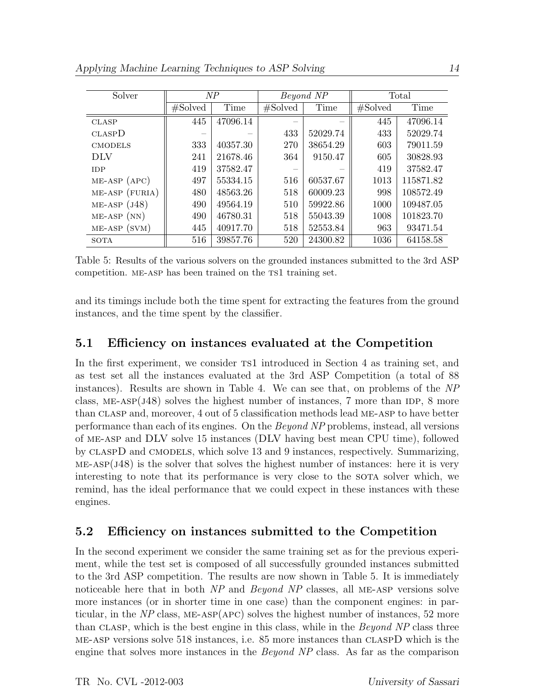| Solver             | NP      |          | Beyond NP |          | Total   |           |
|--------------------|---------|----------|-----------|----------|---------|-----------|
|                    | #Solved | Time     | #Solved   | Time     | #Solved | Time      |
| <b>CLASP</b>       | 445     | 47096.14 |           |          | 445     | 47096.14  |
| <b>CLASPD</b>      |         |          | 433       | 52029.74 | 433     | 52029.74  |
| <b>CMODELS</b>     | 333     | 40357.30 | 270       | 38654.29 | 603     | 79011.59  |
| DLV                | 241     | 21678.46 | 364       | 9150.47  | 605     | 30828.93  |
| <b>IDP</b>         | 419     | 37582.47 |           |          | 419     | 37582.47  |
| $ME-ASP$ $(APC)$   | 497     | 55334.15 | 516       | 60537.67 | 1013    | 115871.82 |
| ME-ASP (FURIA)     | 480     | 48563.26 | 518       | 60009.23 | 998     | 108572.49 |
| $ME-ASP$ ( $J48$ ) | 490     | 49564.19 | 510       | 59922.86 | 1000    | 109487.05 |
| $ME-ASP(NN)$       | 490     | 46780.31 | 518       | 55043.39 | 1008    | 101823.70 |
| $ME-ASP(SVM)$      | 445     | 40917.70 | 518       | 52553.84 | 963     | 93471.54  |
| SOTA               | 516     | 39857.76 | 520       | 24300.82 | 1036    | 64158.58  |

Table 5: Results of the various solvers on the grounded instances submitted to the 3rd ASP competition. ME-ASP has been trained on the TS1 training set.

and its timings include both the time spent for extracting the features from the ground instances, and the time spent by the classifier.

### 5.1 Efficiency on instances evaluated at the Competition

In the first experiment, we consider ts1 introduced in Section 4 as training set, and as test set all the instances evaluated at the 3rd ASP Competition (a total of 88 instances). Results are shown in Table 4. We can see that, on problems of the NP class, ME-ASP $(J48)$  solves the highest number of instances, 7 more than IDP, 8 more than clasp and, moreover, 4 out of 5 classification methods lead me-asp to have better performance than each of its engines. On the Beyond NP problems, instead, all versions of me-asp and DLV solve 15 instances (DLV having best mean CPU time), followed by claspD and cmodels, which solve 13 and 9 instances, respectively. Summarizing,  $ME-ASP(J48)$  is the solver that solves the highest number of instances: here it is very interesting to note that its performance is very close to the SOTA solver which, we remind, has the ideal performance that we could expect in these instances with these engines.

## 5.2 Efficiency on instances submitted to the Competition

In the second experiment we consider the same training set as for the previous experiment, while the test set is composed of all successfully grounded instances submitted to the 3rd ASP competition. The results are now shown in Table 5. It is immediately noticeable here that in both NP and Beyond NP classes, all ME-ASP versions solve more instances (or in shorter time in one case) than the component engines: in particular, in the  $NP$  class, ME-ASP(APC) solves the highest number of instances, 52 more than CLASP, which is the best engine in this class, while in the *Beyond NP* class three me-asp versions solve 518 instances, i.e. 85 more instances than claspD which is the engine that solves more instances in the Beyond NP class. As far as the comparison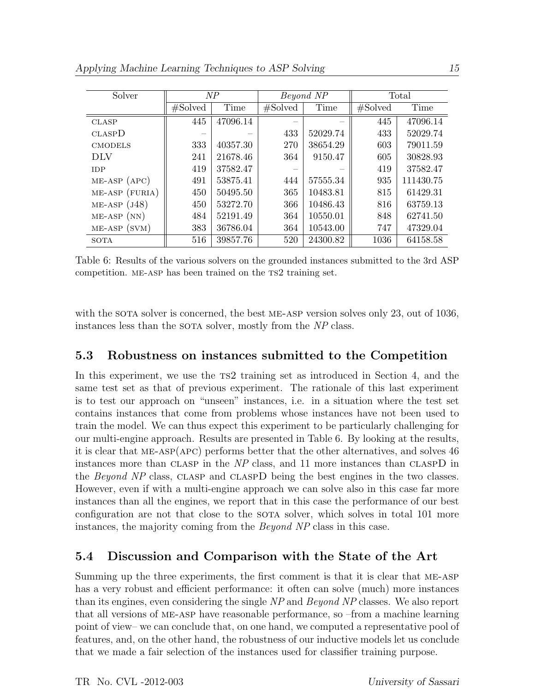| Solver             | NP      |          | Beyond NP |          | Total   |           |
|--------------------|---------|----------|-----------|----------|---------|-----------|
|                    | #Solved | Time     | #Solved   | Time     | #Solved | Time      |
| <b>CLASP</b>       | 445     | 47096.14 |           |          | 445     | 47096.14  |
| CLASPD             |         |          | 433       | 52029.74 | 433     | 52029.74  |
| <b>CMODELS</b>     | 333     | 40357.30 | 270       | 38654.29 | 603     | 79011.59  |
| DLV                | 241     | 21678.46 | 364       | 9150.47  | 605     | 30828.93  |
| <b>IDP</b>         | 419     | 37582.47 |           |          | 419     | 37582.47  |
| $ME-ASP$ $(APC)$   | 491     | 53875.41 | 444       | 57555.34 | 935     | 111430.75 |
| $ME-ASP$ (FURIA)   | 450     | 50495.50 | 365       | 10483.81 | 815     | 61429.31  |
| $ME-ASP$ ( $J48$ ) | 450     | 53272.70 | 366       | 10486.43 | 816     | 63759.13  |
| $ME-ASP(NN)$       | 484     | 52191.49 | 364       | 10550.01 | 848     | 62741.50  |
| $ME-ASP(SVM)$      | 383     | 36786.04 | 364       | 10543.00 | 747     | 47329.04  |
| <b>SOTA</b>        | 516     | 39857.76 | 520       | 24300.82 | 1036    | 64158.58  |

Table 6: Results of the various solvers on the grounded instances submitted to the 3rd ASP competition. ME-ASP has been trained on the TS2 training set.

with the sotal solver is concerned, the best ME-ASP version solves only 23, out of 1036, instances less than the SOTA solver, mostly from the NP class.

#### 5.3 Robustness on instances submitted to the Competition

In this experiment, we use the  $T<sub>1</sub>$  training set as introduced in Section 4, and the same test set as that of previous experiment. The rationale of this last experiment is to test our approach on "unseen" instances, i.e. in a situation where the test set contains instances that come from problems whose instances have not been used to train the model. We can thus expect this experiment to be particularly challenging for our multi-engine approach. Results are presented in Table 6. By looking at the results, it is clear that me-asp(apc) performs better that the other alternatives, and solves 46 instances more than CLASP in the  $NP$  class, and 11 more instances than CLASPD in the *Beyond NP* class, CLASP and CLASPD being the best engines in the two classes. However, even if with a multi-engine approach we can solve also in this case far more instances than all the engines, we report that in this case the performance of our best configuration are not that close to the SOTA solver, which solves in total 101 more instances, the majority coming from the Beyond NP class in this case.

## 5.4 Discussion and Comparison with the State of the Art

Summing up the three experiments, the first comment is that it is clear that me-asp has a very robust and efficient performance: it often can solve (much) more instances than its engines, even considering the single NP and Beyond NP classes. We also report that all versions of me-asp have reasonable performance, so –from a machine learning point of view– we can conclude that, on one hand, we computed a representative pool of features, and, on the other hand, the robustness of our inductive models let us conclude that we made a fair selection of the instances used for classifier training purpose.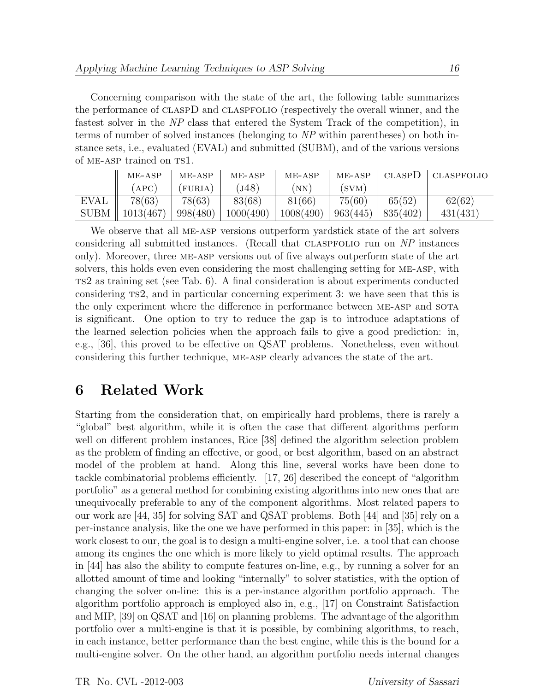Concerning comparison with the state of the art, the following table summarizes the performance of claspD and claspfolio (respectively the overall winner, and the fastest solver in the NP class that entered the System Track of the competition), in terms of number of solved instances (belonging to NP within parentheses) on both instance sets, i.e., evaluated (EVAL) and submitted (SUBM), and of the various versions of ME-ASP trained on TS1.

|             | $ME-ASP$  | $ME-ASP$     | $ME-ASP$  | $ME-ASP$  | $ME-ASP$ | <b>CLASPD</b> | <b>CLASPFOLIO</b> |
|-------------|-----------|--------------|-----------|-----------|----------|---------------|-------------------|
|             | APC       | <b>FURIA</b> | J(48)     | <b>NN</b> | (SVM)    |               |                   |
| <b>EVAL</b> | 78(63)    | 78(63)       | 83(68)    | 81(66)    | 75(60)   | 65(52)        | 62(62)            |
| SUBM        | 1013(467) | 998(480)     | 1000(490) | 1008(490) | 963(445) | 835(402)      | 431(431)          |

We observe that all ME-ASP versions outperform yardstick state of the art solvers considering all submitted instances. (Recall that claspfolio run on NP instances only). Moreover, three me-asp versions out of five always outperform state of the art solvers, this holds even even considering the most challenging setting for me-asp, with ts2 as training set (see Tab. 6). A final consideration is about experiments conducted considering ts2, and in particular concerning experiment 3: we have seen that this is the only experiment where the difference in performance between ME-ASP and SOTA is significant. One option to try to reduce the gap is to introduce adaptations of the learned selection policies when the approach fails to give a good prediction: in, e.g., [36], this proved to be effective on QSAT problems. Nonetheless, even without considering this further technique, me-asp clearly advances the state of the art.

## 6 Related Work

Starting from the consideration that, on empirically hard problems, there is rarely a "global" best algorithm, while it is often the case that different algorithms perform well on different problem instances, Rice [38] defined the algorithm selection problem as the problem of finding an effective, or good, or best algorithm, based on an abstract model of the problem at hand. Along this line, several works have been done to tackle combinatorial problems efficiently. [17, 26] described the concept of "algorithm portfolio" as a general method for combining existing algorithms into new ones that are unequivocally preferable to any of the component algorithms. Most related papers to our work are [44, 35] for solving SAT and QSAT problems. Both [44] and [35] rely on a per-instance analysis, like the one we have performed in this paper: in [35], which is the work closest to our, the goal is to design a multi-engine solver, i.e. a tool that can choose among its engines the one which is more likely to yield optimal results. The approach in [44] has also the ability to compute features on-line, e.g., by running a solver for an allotted amount of time and looking "internally" to solver statistics, with the option of changing the solver on-line: this is a per-instance algorithm portfolio approach. The algorithm portfolio approach is employed also in, e.g., [17] on Constraint Satisfaction and MIP, [39] on QSAT and [16] on planning problems. The advantage of the algorithm portfolio over a multi-engine is that it is possible, by combining algorithms, to reach, in each instance, better performance than the best engine, while this is the bound for a multi-engine solver. On the other hand, an algorithm portfolio needs internal changes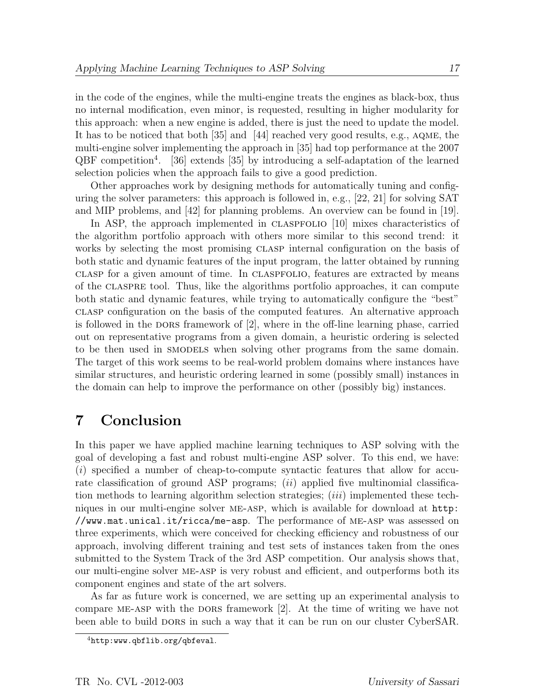in the code of the engines, while the multi-engine treats the engines as black-box, thus no internal modification, even minor, is requested, resulting in higher modularity for this approach: when a new engine is added, there is just the need to update the model. It has to be noticed that both [35] and [44] reached very good results, e.g., aqme, the multi-engine solver implementing the approach in [35] had top performance at the 2007 QBF competition<sup>4</sup> . [36] extends [35] by introducing a self-adaptation of the learned selection policies when the approach fails to give a good prediction.

Other approaches work by designing methods for automatically tuning and configuring the solver parameters: this approach is followed in, e.g., [22, 21] for solving SAT and MIP problems, and [42] for planning problems. An overview can be found in [19].

In ASP, the approach implemented in claspfolio [10] mixes characteristics of the algorithm portfolio approach with others more similar to this second trend: it works by selecting the most promising CLASP internal configuration on the basis of both static and dynamic features of the input program, the latter obtained by running clasp for a given amount of time. In claspfolio, features are extracted by means of the claspre tool. Thus, like the algorithms portfolio approaches, it can compute both static and dynamic features, while trying to automatically configure the "best" clasp configuration on the basis of the computed features. An alternative approach is followed in the DORS framework of  $[2]$ , where in the off-line learning phase, carried out on representative programs from a given domain, a heuristic ordering is selected to be then used in smodels when solving other programs from the same domain. The target of this work seems to be real-world problem domains where instances have similar structures, and heuristic ordering learned in some (possibly small) instances in the domain can help to improve the performance on other (possibly big) instances.

# 7 Conclusion

In this paper we have applied machine learning techniques to ASP solving with the goal of developing a fast and robust multi-engine ASP solver. To this end, we have: (i) specified a number of cheap-to-compute syntactic features that allow for accurate classification of ground ASP programs;  $(ii)$  applied five multinomial classification methods to learning algorithm selection strategies;  $(iii)$  implemented these techniques in our multi-engine solver me-asp, which is available for download at http: //www.mat.unical.it/ricca/me-asp. The performance of me-asp was assessed on three experiments, which were conceived for checking efficiency and robustness of our approach, involving different training and test sets of instances taken from the ones submitted to the System Track of the 3rd ASP competition. Our analysis shows that, our multi-engine solver me-asp is very robust and efficient, and outperforms both its component engines and state of the art solvers.

As far as future work is concerned, we are setting up an experimental analysis to compare ME-ASP with the DORS framework [2]. At the time of writing we have not been able to build DORS in such a way that it can be run on our cluster CyberSAR.

 $^{4}$ http:www.qbflib.org/qbfeval.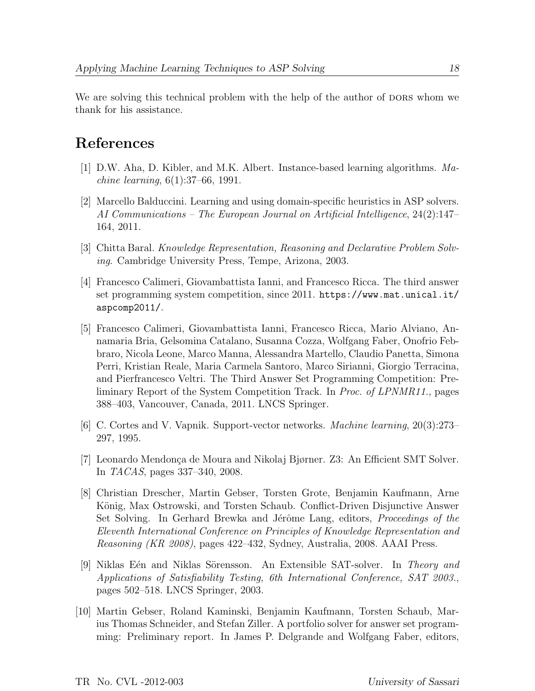We are solving this technical problem with the help of the author of DORS whom we thank for his assistance.

# References

- [1] D.W. Aha, D. Kibler, and M.K. Albert. Instance-based learning algorithms. Machine learning, 6(1):37–66, 1991.
- [2] Marcello Balduccini. Learning and using domain-specific heuristics in ASP solvers. AI Communications – The European Journal on Artificial Intelligence, 24(2):147– 164, 2011.
- [3] Chitta Baral. Knowledge Representation, Reasoning and Declarative Problem Solving. Cambridge University Press, Tempe, Arizona, 2003.
- [4] Francesco Calimeri, Giovambattista Ianni, and Francesco Ricca. The third answer set programming system competition, since 2011. https://www.mat.unical.it/ aspcomp2011/.
- [5] Francesco Calimeri, Giovambattista Ianni, Francesco Ricca, Mario Alviano, Annamaria Bria, Gelsomina Catalano, Susanna Cozza, Wolfgang Faber, Onofrio Febbraro, Nicola Leone, Marco Manna, Alessandra Martello, Claudio Panetta, Simona Perri, Kristian Reale, Maria Carmela Santoro, Marco Sirianni, Giorgio Terracina, and Pierfrancesco Veltri. The Third Answer Set Programming Competition: Preliminary Report of the System Competition Track. In Proc. of LPNMR11., pages 388–403, Vancouver, Canada, 2011. LNCS Springer.
- [6] C. Cortes and V. Vapnik. Support-vector networks. Machine learning, 20(3):273– 297, 1995.
- [7] Leonardo Mendonça de Moura and Nikolaj Bjørner. Z3: An Efficient SMT Solver. In TACAS, pages 337–340, 2008.
- [8] Christian Drescher, Martin Gebser, Torsten Grote, Benjamin Kaufmann, Arne König, Max Ostrowski, and Torsten Schaub. Conflict-Driven Disjunctive Answer Set Solving. In Gerhard Brewka and Jérôme Lang, editors, *Proceedings of the* Eleventh International Conference on Principles of Knowledge Representation and Reasoning (KR 2008), pages 422–432, Sydney, Australia, 2008. AAAI Press.
- [9] Niklas Eén and Niklas Sörensson. An Extensible SAT-solver. In Theory and Applications of Satisfiability Testing, 6th International Conference, SAT 2003., pages 502–518. LNCS Springer, 2003.
- [10] Martin Gebser, Roland Kaminski, Benjamin Kaufmann, Torsten Schaub, Marius Thomas Schneider, and Stefan Ziller. A portfolio solver for answer set programming: Preliminary report. In James P. Delgrande and Wolfgang Faber, editors,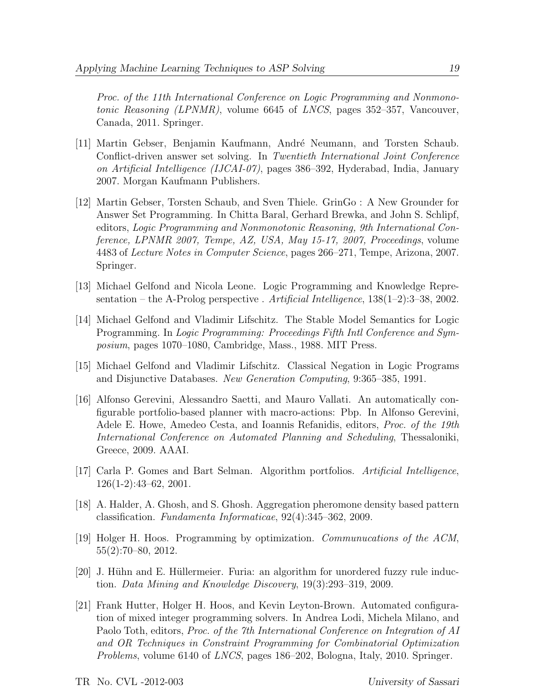Proc. of the 11th International Conference on Logic Programming and Nonmonotonic Reasoning (LPNMR), volume 6645 of LNCS, pages 352–357, Vancouver, Canada, 2011. Springer.

- [11] Martin Gebser, Benjamin Kaufmann, André Neumann, and Torsten Schaub. Conflict-driven answer set solving. In Twentieth International Joint Conference on Artificial Intelligence (IJCAI-07), pages 386–392, Hyderabad, India, January 2007. Morgan Kaufmann Publishers.
- [12] Martin Gebser, Torsten Schaub, and Sven Thiele. GrinGo : A New Grounder for Answer Set Programming. In Chitta Baral, Gerhard Brewka, and John S. Schlipf, editors, Logic Programming and Nonmonotonic Reasoning, 9th International Conference, LPNMR 2007, Tempe, AZ, USA, May 15-17, 2007, Proceedings, volume 4483 of Lecture Notes in Computer Science, pages 266–271, Tempe, Arizona, 2007. Springer.
- [13] Michael Gelfond and Nicola Leone. Logic Programming and Knowledge Representation – the A-Prolog perspective . Artificial Intelligence,  $138(1-2)$ : 3–38, 2002.
- [14] Michael Gelfond and Vladimir Lifschitz. The Stable Model Semantics for Logic Programming. In Logic Programming: Proceedings Fifth Intl Conference and Symposium, pages 1070–1080, Cambridge, Mass., 1988. MIT Press.
- [15] Michael Gelfond and Vladimir Lifschitz. Classical Negation in Logic Programs and Disjunctive Databases. New Generation Computing, 9:365–385, 1991.
- [16] Alfonso Gerevini, Alessandro Saetti, and Mauro Vallati. An automatically configurable portfolio-based planner with macro-actions: Pbp. In Alfonso Gerevini, Adele E. Howe, Amedeo Cesta, and Ioannis Refanidis, editors, Proc. of the 19th International Conference on Automated Planning and Scheduling, Thessaloniki, Greece, 2009. AAAI.
- [17] Carla P. Gomes and Bart Selman. Algorithm portfolios. Artificial Intelligence, 126(1-2):43–62, 2001.
- [18] A. Halder, A. Ghosh, and S. Ghosh. Aggregation pheromone density based pattern classification. Fundamenta Informaticae, 92(4):345–362, 2009.
- [19] Holger H. Hoos. Programming by optimization. Communucations of the ACM, 55(2):70–80, 2012.
- [20] J. Hühn and E. Hüllermeier. Furia: an algorithm for unordered fuzzy rule induction. Data Mining and Knowledge Discovery, 19(3):293–319, 2009.
- [21] Frank Hutter, Holger H. Hoos, and Kevin Leyton-Brown. Automated configuration of mixed integer programming solvers. In Andrea Lodi, Michela Milano, and Paolo Toth, editors, Proc. of the 7th International Conference on Integration of AI and OR Techniques in Constraint Programming for Combinatorial Optimization Problems, volume 6140 of LNCS, pages 186–202, Bologna, Italy, 2010. Springer.

TR No. CVL -2012-003 University of Sassari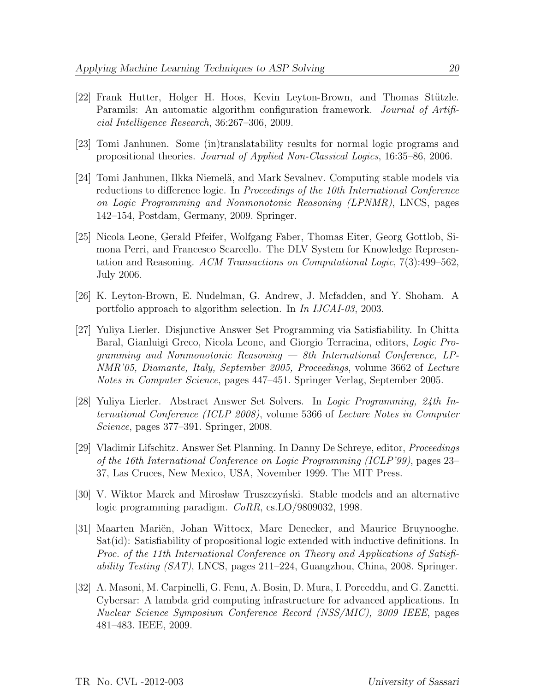- [22] Frank Hutter, Holger H. Hoos, Kevin Leyton-Brown, and Thomas Stützle. Paramils: An automatic algorithm configuration framework. *Journal of Artifi*cial Intelligence Research, 36:267–306, 2009.
- [23] Tomi Janhunen. Some (in)translatability results for normal logic programs and propositional theories. Journal of Applied Non-Classical Logics, 16:35–86, 2006.
- [24] Tomi Janhunen, Ilkka Niemelä, and Mark Sevalnev. Computing stable models via reductions to difference logic. In *Proceedings of the 10th International Conference* on Logic Programming and Nonmonotonic Reasoning (LPNMR), LNCS, pages 142–154, Postdam, Germany, 2009. Springer.
- [25] Nicola Leone, Gerald Pfeifer, Wolfgang Faber, Thomas Eiter, Georg Gottlob, Simona Perri, and Francesco Scarcello. The DLV System for Knowledge Representation and Reasoning. ACM Transactions on Computational Logic, 7(3):499–562, July 2006.
- [26] K. Leyton-Brown, E. Nudelman, G. Andrew, J. Mcfadden, and Y. Shoham. A portfolio approach to algorithm selection. In In IJCAI-03, 2003.
- [27] Yuliya Lierler. Disjunctive Answer Set Programming via Satisfiability. In Chitta Baral, Gianluigi Greco, Nicola Leone, and Giorgio Terracina, editors, Logic Programming and Nonmonotonic Reasoning — 8th International Conference, LP-NMR'05, Diamante, Italy, September 2005, Proceedings, volume 3662 of Lecture Notes in Computer Science, pages 447–451. Springer Verlag, September 2005.
- [28] Yuliya Lierler. Abstract Answer Set Solvers. In Logic Programming, 24th International Conference (ICLP 2008), volume 5366 of Lecture Notes in Computer Science, pages 377–391. Springer, 2008.
- [29] Vladimir Lifschitz. Answer Set Planning. In Danny De Schreye, editor, Proceedings of the 16th International Conference on Logic Programming (ICLP'99), pages 23– 37, Las Cruces, New Mexico, USA, November 1999. The MIT Press.
- [30] V. Wiktor Marek and Mirosław Truszczyński. Stable models and an alternative logic programming paradigm. CoRR, cs.LO/9809032, 1998.
- [31] Maarten Mariën, Johan Wittocx, Marc Denecker, and Maurice Bruynooghe. Sat(id): Satisfiability of propositional logic extended with inductive definitions. In Proc. of the 11th International Conference on Theory and Applications of Satisfi*ability Testing*  $(SAT)$ *, LNCS, pages 211–224, Guangzhou, China, 2008. Springer.*
- [32] A. Masoni, M. Carpinelli, G. Fenu, A. Bosin, D. Mura, I. Porceddu, and G. Zanetti. Cybersar: A lambda grid computing infrastructure for advanced applications. In Nuclear Science Symposium Conference Record (NSS/MIC), 2009 IEEE, pages 481–483. IEEE, 2009.